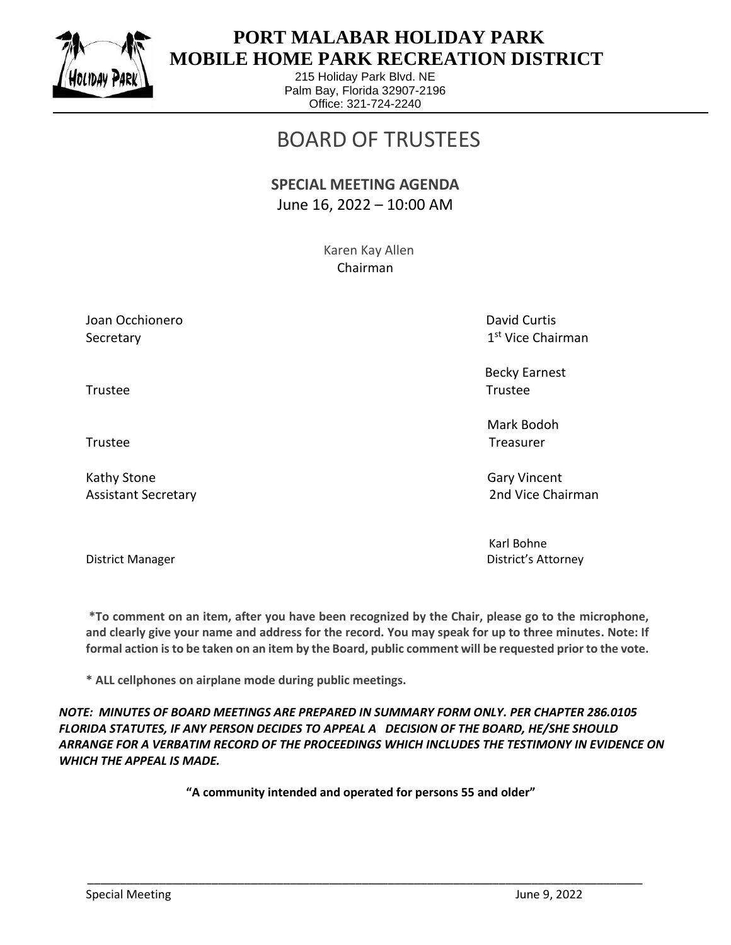

 $\overline{a}$ 

## **PORT MALABAR HOLIDAY PARK MOBILE HOME PARK RECREATION DISTRICT**

215 Holiday Park Blvd. NE Palm Bay, Florida 32907-2196 Office: 321-724-2240

## BOARD OF TRUSTEES

## **SPECIAL MEETING AGENDA** June 16, 2022 – 10:00 AM

 Karen Kay Allen Chairman

Joan Occhionero **David Curtis** Curtis Curtis Curtis Curtis Curtis Curtis Curtis Curtis Curtis Curtis Curtis Curtis Secretary

1<sup>st</sup> Vice Chairman

Becky Earnest

 Mark Bodoh Trustee Trustee

Karl Bohne District Manager District's Attorney

**\*To comment on an item, after you have been recognized by the Chair, please go to the microphone, and clearly give your name and address for the record. You may speak for up to three minutes. Note: If formal action is to be taken on an item by the Board, public comment will be requested prior to the vote.**

**\* ALL cellphones on airplane mode during public meetings.**

*NOTE: MINUTES OF BOARD MEETINGS ARE PREPARED IN SUMMARY FORM ONLY. PER CHAPTER 286.0105 FLORIDA STATUTES, IF ANY PERSON DECIDES TO APPEAL A DECISION OF THE BOARD, HE/SHE SHOULD ARRANGE FOR A VERBATIM RECORD OF THE PROCEEDINGS WHICH INCLUDES THE TESTIMONY IN EVIDENCE ON WHICH THE APPEAL IS MADE.*

**"A community intended and operated for persons 55 and older"**

\_\_\_\_\_\_\_\_\_\_\_\_\_\_\_\_\_\_\_\_\_\_\_\_\_\_\_\_\_\_\_\_\_\_\_\_\_\_\_\_\_\_\_\_\_\_\_\_\_\_\_\_\_\_\_\_\_\_\_\_\_\_\_\_\_\_\_\_\_\_\_\_\_\_\_\_\_\_\_\_\_\_\_\_\_

Trustee Trustee

Kathy Stone Gary Vincent Control of the Gary Vincent Control of the Gary Vincent Control of the Gary Vincent Co Assistant Secretary 2nd Vice Chairman